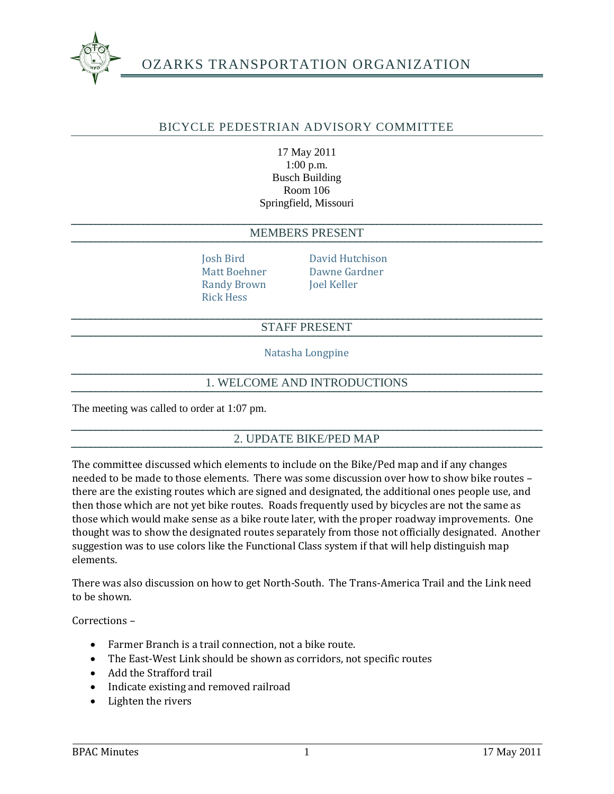

# OZARKS TRANSPORTATION ORGANIZATION

## BICYCLE PEDESTRIAN ADVISORY COMMITTEE

#### 17 May 2011 1:00 p.m. Busch Building Room 106 Springfield, Missouri

#### MEMBERS PRESENT

Randy Brown Joel Keller Rick Hess

Josh Bird David Hutchison Matt Boehner Dawne Gardner

#### STAFF PRESENT

Natasha Longpine

### 1. WELCOME AND INTRODUCTIONS

The meeting was called to order at 1:07 pm.

### 2. UPDATE BIKE/PED MAP

The committee discussed which elements to include on the Bike/Ped map and if any changes needed to be made to those elements. There was some discussion over how to show bike routes – there are the existing routes which are signed and designated, the additional ones people use, and then those which are not yet bike routes. Roads frequently used by bicycles are not the same as those which would make sense as a bike route later, with the proper roadway improvements. One thought was to show the designated routes separately from those not officially designated. Another suggestion was to use colors like the Functional Class system if that will help distinguish map elements.

There was also discussion on how to get North-South. The Trans-America Trail and the Link need to be shown.

Corrections –

- Farmer Branch is a trail connection, not a bike route.
- The East-West Link should be shown as corridors, not specific routes
- Add the Strafford trail
- Indicate existing and removed railroad
- Lighten the rivers